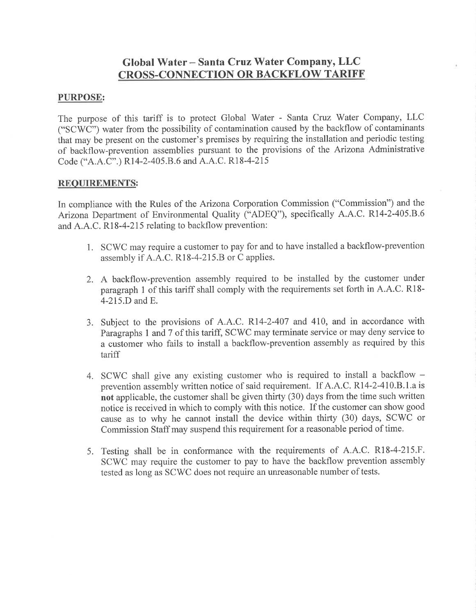# Global Water – Santa Cruz Water Company, LLC CROSS-CONNECTION OR BACKFLOW TARIFF

## PURPOSE:

The purpose of this tariff is to protect Global Water - Santa Cruz Water Company, LLC ("SCWC") water from the possibility of contamination caused by the backflow of contaminants that may be present on the customer's premises by requiring the installation and periodic testing of backflow-prevention assemblies pursuant to the provisions of the Arizona Administrative Code ("4.4.C".) Rl4-2-405.8.6 and A.A.C. Rl8-4-215

#### REOUIREMENTS:

In compliance with the Rules of the Arizona Corporation Commission ("Commission") and the Arizona Department of Environmental Quality ("ADEQ"), specifically A.A.C. Rl4-2-405.8.6 and A.A.C. Rl8-4-215 relating to backflow prevention:

- 1. SCV/C may require a customer to pay for and to have installed a backflow-prevention assembly if A.A.C. Rl8-4-215.8 or C applies.
- 2. A backflow-prevention assembly required to be installed by the customer under paragraph 1 of this tariff shall comply with the requirements set forth in A.A.C. Rl8- 4-215.D and E.
- 3. Subject to the provisions of A.A.C. R14-2-407 and 410, and in accordance with Paragraphs 1 and 7 of this tariff, SCWC may terminate service or may deny service to a customer who fails to install a backflow-prevention assembly as required by this tariff
- 4. SCWC shall give any existing customer who is required to install a backflow prevention assembly written notice of said requirement. If A.A.C. R14-2-410.B.1.a is not applicable, the customer shall be given thirty (30) days from the time such written notice is received in which to comply with this notice. If the customer can show good cause as to why he cannot install the device within thirty (30) days, SCWC or Commission Staff may suspend this requirement for a reasonable period of time.
- 5. Testing shall be in conformance with the requirements of A.A.C. R18-4-215.F. SCWC may require the customer to pay to have the backflow prevention assembly tested as long as SCWC does not require an unreasonable number of tests.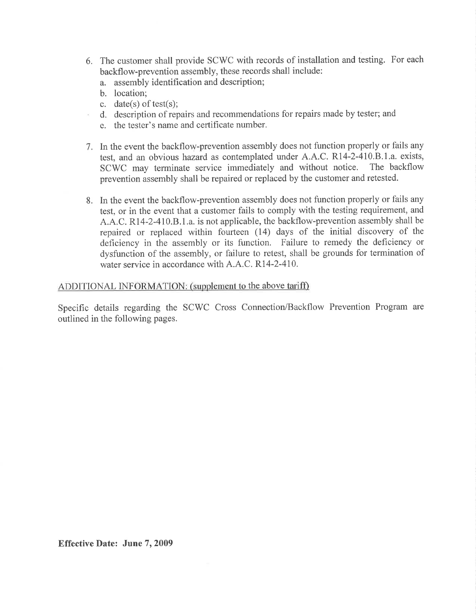- 6. The customer shall provide SCWC with records of installation and testing. For each backflow-prevention assembly, these records shall include:
	- a. assembly identification and description;
	- b. location;
	- c. date(s) of test(s):
	- d. description of repairs and recommendations for repairs made by tester; and
	- e. the tester's name and certificate number.
- 7. In the event the backflow-prevention assembly does not function properly or fails any test, and an obvious hazard as contemplated under A.A.C. R14-2-410.B.1.a. exists, SCWC may terminate service immediately and without notice. The backflow SCWC may terminate service immediately and without notice. prevention assembly shall be repaired or replaced by the customer and retested.
- 8. In the event the backflow-prevention assembly does not function properly or fails any test, or in the event that a customer fails to comply with the testing requirement, and A.A.C. R14-2-410.8.1.a. is not applicable, the backflow-prevention assembly shall be repaired or replaced within fourteen (14) days of the initial discovery of the deficiency in the assembly or its function. Failure to remedy the deficiency or dysfunction of the assembly, or failure to retest, shall be grounds for termination of water service in accordance with A.A.C. RI4-2-4I0.

#### ADDITIONAL INFORMATION: (supplement to the above tariff)

Specific details regarding the SCWC Cross Connection/Backflow Prevention Program are outlined in the following pages.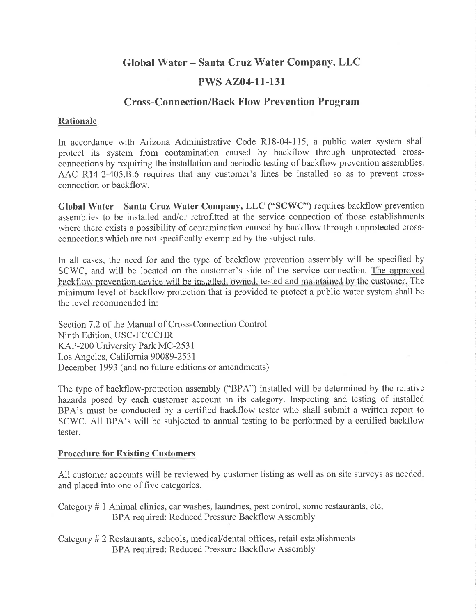# Global Water - Santa Cruz Water Company, LLC

# **PWS AZ04-11-131**

# **Cross-Connection/Back Flow Prevention Program**

## Rationale

In accordance with Arizona Administrative Code R18-04-115, a public water system shall protect its system from contamination caused by backflow through unprotected crossconnections by requiring the installation and periodic testing of backflow prevention assemblies. AAC R14-2-405.8.6 requires that any customer's lines be installed so as to prevent crossconnection or backflow.

Global Water - Santa Cruz Water Company, LLC ("SCWC") requires backflow prevention assemblies to be installed and/or retrofitted at the service connection of those establishments where there exists a possibility of contamination caused by backflow through unprotected crossconnections which are not specifically exempted by the subject rule.

In all cases, the need for and the type of backflow prevention assembly will be specified by SCWC, and will be located on the customer's side of the service connection. The approved backflow prevention device will be installed, owned, tested and maintained by the customer. The minimum level of backflow protection that is provided to protect a public water system shall be the level recommended in:

Section 7.2 of the Manual of Cross-Connection Control Ninth Edition, USC-FCCCHR KAP-200 University Park MC-2531 Los Angeles, California 90089-253 I December 1993 (and no future editions or amendments)

The type of backflow-protection assembly ("BPA") installed will be determined by the relative hazards posed by each customer account in its category. Inspecting and testing of installed BPA's must be conducted by a certified backflow tester who shall submit a written report to SCWC. All BPA's will be subjected to annual testing to be performed by a certified backflow tester.

#### Procedure for Existing Customers

All customer accounts will be reviewed by customer listing as well as on site surveys as needed, and placed into one of five categories.

Category # 1 Animal clinics, car washes, laundries, pest control, some restaurants, etc BPA required: Reduced Pressure Backflow Assembly

Category # 2 Restaurants, schools, medical/dental offices, retail establishments BPA required: Reduced Pressure Backflow Assembly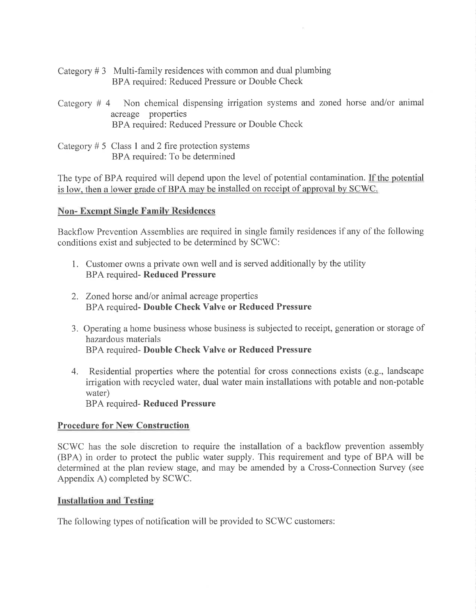- Category  $# 3$  Multi-family residences with common and dual plumbing BPA required: Reduced Pressure or Double Check
- Category # 4 Non chemical dispensing irrigation systems and zoned horse and/or animal acreage properties BPA required: Reduced Pressure or Double Check
- Category  $# 5$  Class 1 and 2 fire protection systems BPA required: To be determined

The type of BPA required will depend upon the level of potential contamination. If the potential is low, then a lower grade of BPA may be installed on receipt of approval by SCWC.

## Non- Exempt Single Familv Residences

Backflow Prevention Assemblies are required in single family residences if any of the following conditions exist and subjected to be determined by SCWC:

- 1. Customer owns a private own well and is served additionally by the utility BPA required- Reduced Pressure
- 2. Zoned horse and/or animal acreage properties BPA required- Double Check Valve or Reduced Pressure
- 3. Operating a home business whose business is subjected to receipt, generation or storage of hazardous materials BPA required- Double Check Valve or Reduced Pressure
- 4. Residential properties where the potential for cross connections exists (e.g., landscape irrigation with recycled water, dual water main installations with potable and non-potable water) BPA required- Reduced Pressure

## Procedure for New Construction

SCV/C has the sole discretion to require the installation of a backflow prevention assembly (BPA) in order to protect the public water supply. This requirement and type of BPA will be determined at the plan review stage, and may be amended by a Cross-Connection Survey (see Appendix A) completed by SCWC.

#### **Installation and Testing**

The following types of notification will be provided to SCWC customers: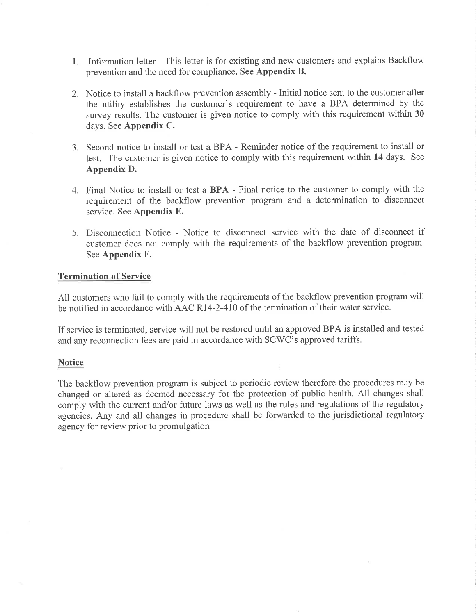- 1. Information letter This letter is for existing and new customers and explains Backflow prevention and the need for compliance. See Appendix B.
- 2. Notice to install a backflow prevention assembly Initial notice sent to the customer after the utility establishes the customer's requirement to have a BPA determined by the survey results. The customer is given notice to comply with this requirement within 30 days. See Appendix C.
- 3. Second notice to install or test a BPA Reminder notice of the requirement to install or test. The customer is given notice to comply with this requirement within 14 days. See Appendix D.
- 4. Final Notice to install or test a BPA Final notice to the customer to comply with the requirement of the backflow prevention program and a determination to disconnect service. See Appendix E.
- 5. Disconnection Notice Notice to disconnect service with the date of disconnect if customer does not comply with the requirements of the backflow prevention program. See Appendix F.

#### Termination of Service

All customers who fail to comply with the requirements of the backflow prevention program will be notified in accordance with AAC R14-2-410 of the termination of their water service.

If service is terminated, service will not be restored until an approved BPA is installed and tested and any reconnection fees are paid in accordance with SCWC's approved tariffs.

#### **Notice**

The backflow prevention program is subject to periodic review therefore the procedures may be changed or altered as deemed necessary for the protection of public health. All changes shall comply with the current and/or future laws as well as the rules and regulations of the regulatory agencies. Any and all changes in procedure shall be forwarded to the jurisdictional regulatory agency for review prior to promulgation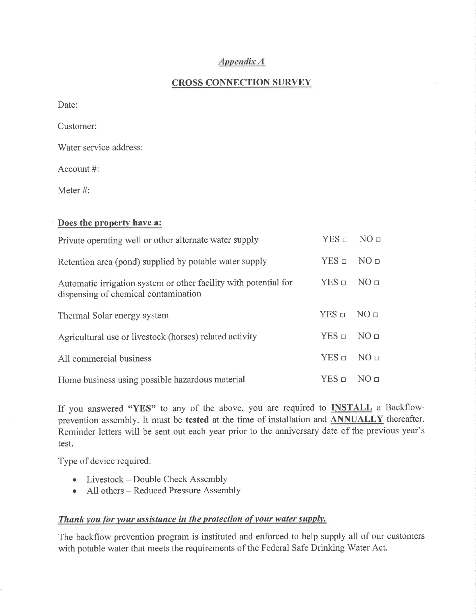## AppendixA

## CROSS CONNECTION SURVEY

Date:

Customer:

Water service address:

Account #:

Meter #:

| Does the property have a: |  |  |
|---------------------------|--|--|
|---------------------------|--|--|

| Private operating well or other alternate water supply                                                   | $YES \Box$      | NO <sub>II</sub> |
|----------------------------------------------------------------------------------------------------------|-----------------|------------------|
| Retention area (pond) supplied by potable water supply                                                   | $YES =$         | NO <sub>□</sub>  |
| Automatic irrigation system or other facility with potential for<br>dispensing of chemical contamination | $YES \square$   | NO <sub>□</sub>  |
| Thermal Solar energy system                                                                              | $YES =$         | NO <sub>□</sub>  |
| Agricultural use or livestock (horses) related activity                                                  | $YES =$         | NO <sub>II</sub> |
| All commercial business                                                                                  | $YES$ $\square$ | NO <sub>□</sub>  |
| Home business using possible hazardous material                                                          | YES ⊓           | NO <sub>II</sub> |

If you answered "YES" to any of the above, you are required to **INSTALL** a Backflowprevention assembly. It must be tested at the time of installation and **ANNUALLY** thereafter. Reminder letters will be sent out each year prior to the anniversary date of the previous year's test.

Type of device required:

- Livestock Double Check Assembly
- All others Reduced Pressure Assembly

## Thank you for your assistance in the protection of your water supply.

The backflow prevention program is instituted and enforced to help supply all of our customers with potable water that meets the requirements of the Federal Safe Drinking Water Act.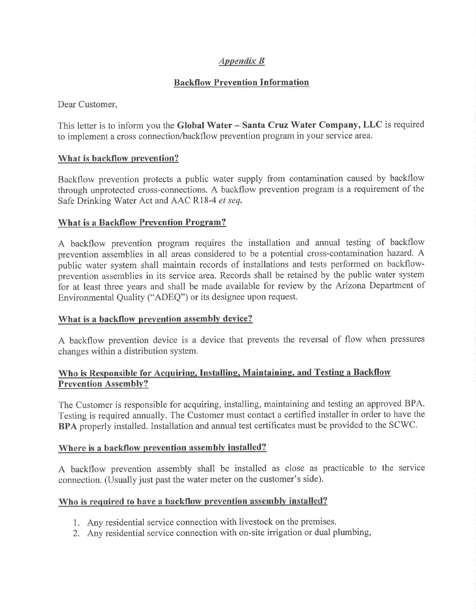## APPendix B

## Backflow Prevention Information

Dear Customer,

This letter is to inform you the Global Water - Santa Cruz Water Company, LLC is required to implement a cross connection/backflow prevention program in your service area.

## What is backflow prevention?

Backflow prevention protects a public water supply from contamination caused by backflow through unprotected cross-connections. A backflow prevention program is a requirement of the Safe Drinking Water Act and AAC R18-4 et seq.

## What is a Backflow Prevention Program?

A backflow prevention program requires the installation and annual testing of backflow prevention assemblies in all areas considered to be a potential cross-contamination hazard. A public water system shall maintain records of installations and tests performed on backflowprevention assemblies in its service area. Records shall be retained by the public water system for at least three years and shall be made available for review by the Arizona Department of Environmental Quality ("ADEQ") or its designee upon request.

#### What is a backflow prevention assembly device?

A backflow prevention device is a device that prevents the reversal of flow when pressures changes within a distribution system.

## Who is Responsible for Acquiring, Installing, Maintaining, and Testing a Backflow Prevention Assemblv?

The Customer is responsible for acquiring, installing, maintaining and testing an approved BPA. Testing is required annually. The Customer must contact a certified installer in order to have the BPA properly installed. Installation and annual test certificates must be provided to the SCWC.

#### Where is a backflow prevention assembly installed?

A backflow prevention assembly shall be installed as close as practicable to the service connection. (Usually just past the water meter on the customer's side).

## Who is required to have a backflow prevention assembly installed?

- 1. Any residential service connection with livestock on the premises.
- 2. Any residential service connection with on-site irrigation or dual plumbing,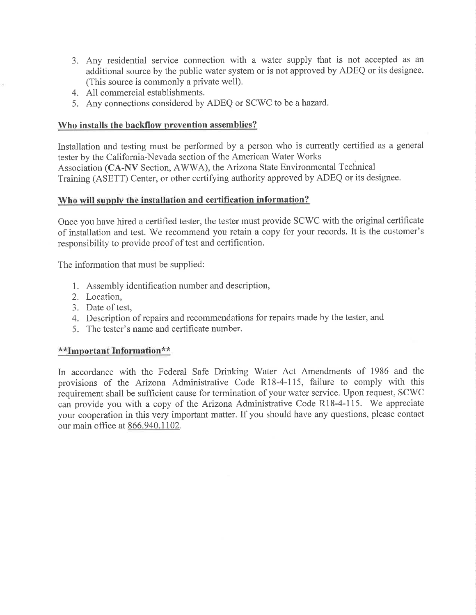- 3. Any residential service connection with a water supply that is not accepted as an additional source by the public water system or is not approved by ADEQ or its designee. (This source is commonly a private well).
- 4. All commercial establishments.
- 5. Any connections considered by ADEQ or SCWC to be a hazard.

#### Who installs the backflow nrevention assemblies?

Installation and testing must be performed by a person who is currently certified as a general tester by the California-Nevada section of the American Water Works Association (CA-NV Section, AWV/A), the Arizona State Environmental Technical Training (ASETT) Center, or other certifying authority approved by ADEQ or its designee.

#### Who will supply the installation and certification information?

Once you have hired a certified tester, the tester must provide SCV/C with the original certificate of installation and test. 'We recommend you retain a copy for your records. It is the customer's responsibility to provide proof of test and certification.

The information that must be supplied:

- l. Assembly identification number and description,
- 2. Location,
- 3. Date of test,
- 4. Description of repairs and recommendations for repairs made by the tester, and
- 5. The tester's name and certificate number.

#### \* \*Important Information\* \*

In accordance with the Federal Safe Drinking Water Act Amendments of 1986 and the provisions of the Arizona Administrative Code R18-4-115, failure to comply with this requirement shall be sufficient cause for termination of your water service. Upon request, SCWC can provide you with a copy of the Arizona Administrative Code R18-4-115. We appreciate your cooperation in this very important matter. If you should have any questions, please contact our main office at 866.940.1102.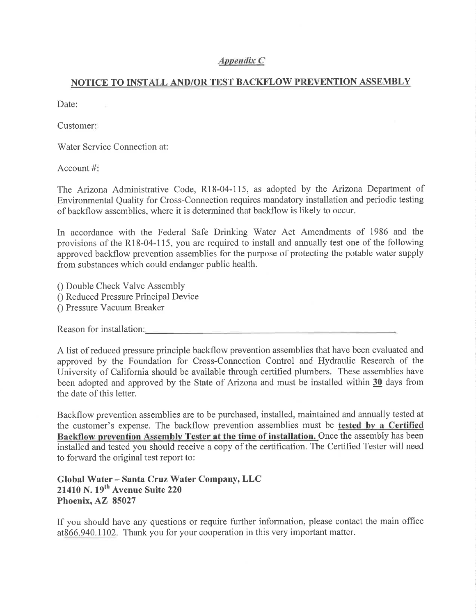#### Anpendìx C

## NOTICE TO INSTALL AND/OR TEST BACKFLOW PREVENTION ASSEMBLY

Date:

Customer

Water Service Connection at:

Account #

The Arizona Administrative Code, Rl8-04-115, as adopted by the Arizona Department of Environmental Quality for Cross-Connection requires mandatory installation and periodic testing of backflow assemblies, where it is determined that backflow is likely to occur.

In accordance with the Federal Safe Drinking Water Act Amendments of 1986 and the provisions of the Rl8-04-115, you are required to install and annually test one of the following approved backflow prevention assemblies for the purpose of protecting the potable water supply from substances which could endanger public health.

0 Double Check Valve Assembly 0 Reduced Pressure Principal Device 0 Pressure Vacuum Breaker

Reason for installation:

A list of reduced pressure principle backflow prevention assemblies that have been evaluated and approved by the Foundation for Cross-Connection Control and Hydraulic Research of the University of California should be available through certified plumbers. These assemblies have been adopted and approved by the State of Arizona and must be installed within  $30$  days from the date of this letter.

Backflow prevention assemblies are to be purchased, installed, maintained and annually tested at the customer's expense. The backflow prevention assemblies must be tested by a Certified Backflow prevention Assembly Tester at the time of installation. Once the assembly has been installed and tested you should receive a copy of the certification. The Certified Tester will need to forward the original test report to:

# Global Water – Santa Cruz Water Company, LLC  $21410$  N.  $19<sup>th</sup>$  Avenue Suite 220 Phoenix, AZ 85027

If you should have any questions or require further information, please contact the main office at866.940.1102. Thank you for your cooperation in this very important matter.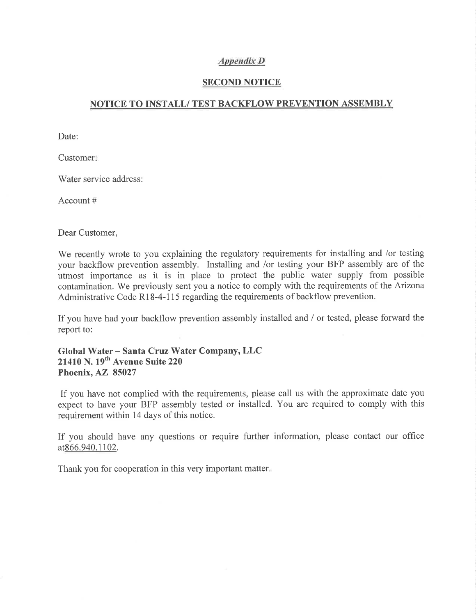#### Appendíx D

#### SECOND NOTICE

### NOTICE TO INSTALL/ TEST BACKFLOW PREVENTION ASSEMBLY

Date:

Customer

Water service address:

Account #

Dear Customer,

We recently wrote to you explaining the regulatory requirements for installing and /or testing your backflow prevention assembly. Installing and /or testing your BFP assembly are of the utmost importance as it is in place to protect the public water supply from possible contamination. We previously sent you a notice to comply with the requirements of the Arizona Administrative Code R18-4-115 regarding the requirements of backflow prevention.

If you have had your backflow prevention assembly installed and / or tested, please forward the report to:

#### Global Water - Santa Cruz Water Company, LLC 21410 N. 19<sup>th</sup> Avenue Suite 220 Phoenix, AZ 85027

If you have not complied with the requirements, please call us with the approximate date you expect to have your BFP assembly tested or installed. You are required to comply with this requirement within 14 days of this notice.

If you should have any questions or require further information, please contact our office at866.940.1102.

Thank you for cooperation in this very important matter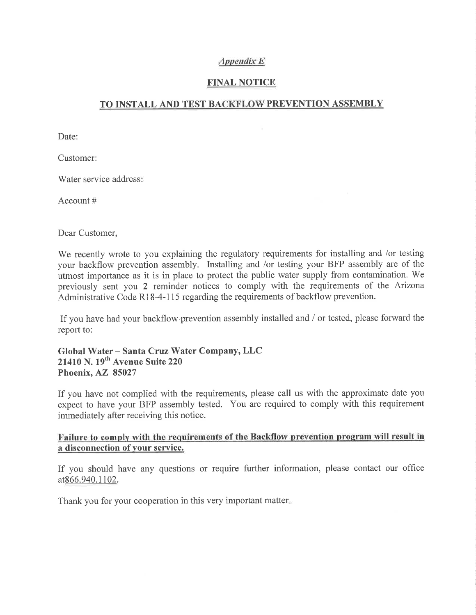## Appendìx E

## FINAL NOTICE

## TO INSTALL AND TEST BACKFLOW PREVENTION ASSEMBLY

Date:

Customer:

Water service address:

Account #

Dear Customer,

'We recently wrote to you explaining the regulatory requirements for installing and /or testing your backflow prevention assembly. Installing and /or testing your BFP assembly are of the utmost importance as it is in place to protect the public water supply from contamination. We previously sent you 2 reminder notices to comply with the requirements of the Arizona Administrative Code R18-4-115 regarding the requirements of backflow prevention.

If you have had your backflow prevention assembly installed and  $\ell$  or tested, please forward the report to:

Global Water - Santa Cruz Water Company, LLC 21410 N. 19<sup>th</sup> Avenue Suite 220 Phoenix, AZ 85027

If you have not complied with the requirements, please call us with the approximate date you expect to have your BFP assembly tested. You are required to comply with this requirement immediately after receiving this notice.

## Failure to comply with the requirements of the Backflow prevention program will result in a disconnection of vour service.

If you should have any questions or require further information, please contact our office at866,940.1102.

Thank you for your cooperation in this very important matter.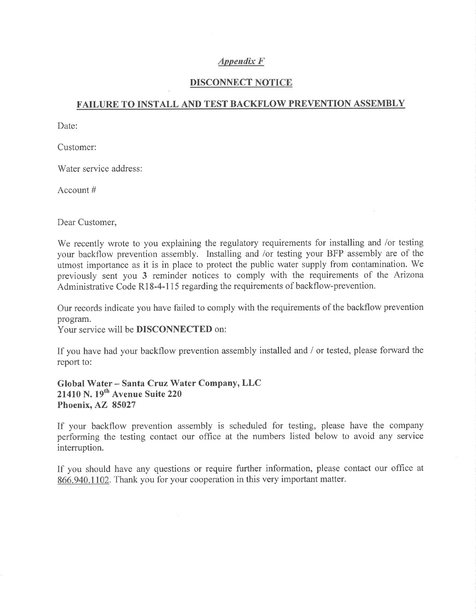## Appendíx F

#### DISCONNECT NOTICE

### FAILURE TO INSTALL AND TEST BACKFLOW PREVENTION ASSEMBLY

Date:

Customer:

Water service address:

Account #

Dear Customer,

We recently wrote to you explaining the regulatory requirements for installing and /or testing your backflow prevention assembly. Installing and /or testing your BFP assembly are of the utmost importance as it is in place to protect the public water supply from contamination. We previously sent you 3 reminder notices to comply with the requirements of the Arizona Administrative Code R18-4-115 regarding the requirements of backflow-prevention.

Our records indicate you have failed to comply with the requirements of the backflow prevention program.

Your service will be **DISCONNECTED** on:

If you have had your backflow prevention assembly installed and / or tested, please forward the report to:

Global Water - Santa Cruz Water Company, LLC 21410 N. 19<sup>th</sup> Avenue Suite 220 Phoenix, AZ 85027

If your backflow prevention assembly is scheduled for testing, please have the company performing the testing contact our office at the numbers listed below to avoid any service interruption.

If you should have any questions or require further information, please contact our office at 866.940.1102. Thank you for your cooperation in this very important matter.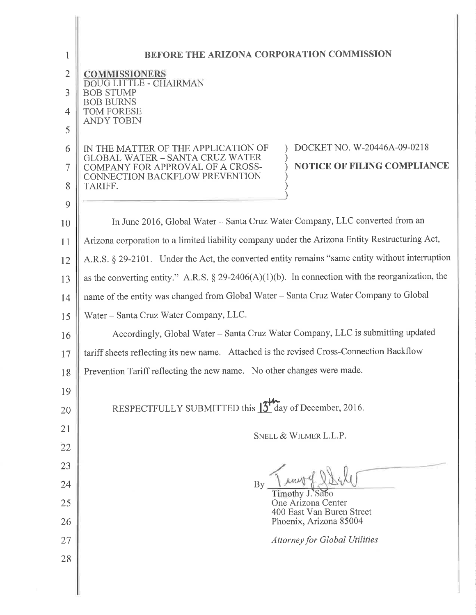| 1              | BEFORE THE ARIZONA CORPORATION COMMISSION                                                                        |
|----------------|------------------------------------------------------------------------------------------------------------------|
| $\overline{2}$ | COMMISSIONERS                                                                                                    |
| 3              | <b>DOUG LITTLE - CHAIRMAN</b><br><b>BOB STUMP</b>                                                                |
| $\overline{4}$ | <b>BOB BURNS</b><br><b>TOM FORESE</b>                                                                            |
| 5              | <b>ANDY TOBIN</b>                                                                                                |
| 6              | DOCKET NO. W-20446A-09-0218<br>IN THE MATTER OF THE APPLICATION OF                                               |
| 7              | <b>GLOBAL WATER - SANTA CRUZ WATER</b><br><b>NOTICE OF FILING COMPLIANCE</b><br>COMPANY FOR APPROVAL OF A CROSS- |
| 8              | CONNECTION BACKFLOW PREVENTION<br>TARIFF.                                                                        |
| 9              |                                                                                                                  |
| 10             | In June 2016, Global Water - Santa Cruz Water Company, LLC converted from an                                     |
| 11             | Arizona corporation to a limited liability company under the Arizona Entity Restructuring Act,                   |
| 12             | A.R.S. § 29-2101. Under the Act, the converted entity remains "same entity without interruption                  |
| 13             | as the converting entity." A.R.S. § 29-2406(A)(1)(b). In connection with the reorganization, the                 |
| 14             | name of the entity was changed from Global Water - Santa Cruz Water Company to Global                            |
| 15             | Water – Santa Cruz Water Company, LLC.                                                                           |
| 16             | Accordingly, Global Water - Santa Cruz Water Company, LLC is submitting updated                                  |
| 17             | tariff sheets reflecting its new name. Attached is the revised Cross-Connection Backflow                         |
| 18             | Prevention Tariff reflecting the new name. No other changes were made.                                           |
| 19             |                                                                                                                  |
| 20             | RESPECTFULLY SUBMITTED this 13 <sup><i>M</i></sup> day of December, 2016.                                        |
| 21             | SNELL & WILMER L.L.P.                                                                                            |
| 22             |                                                                                                                  |
| 23             |                                                                                                                  |
| 24             | $\mathbf{B}$<br>Timothy J. Sabo                                                                                  |
| 25             | One Arizona Center<br>400 East Van Buren Street                                                                  |
| 26             | Phoenix, Arizona 85004                                                                                           |
| 27             | <b>Attorney for Global Utilities</b>                                                                             |
| 28             |                                                                                                                  |
|                |                                                                                                                  |
|                |                                                                                                                  |